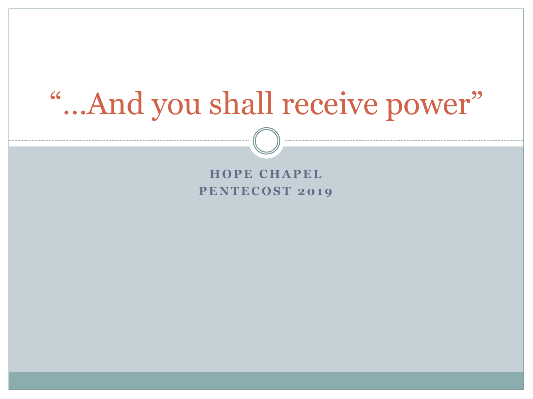# "...And you shall receive power"

#### **HOPE CHAPEL PENTECOST 2019**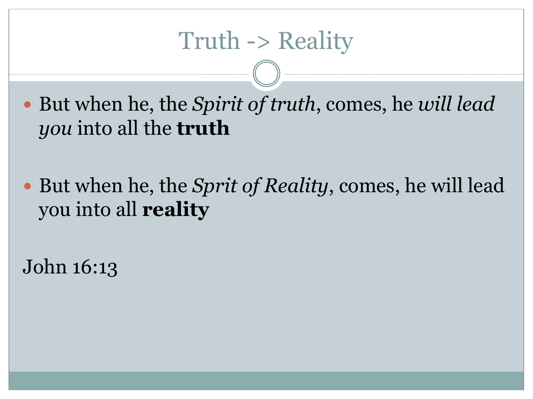But when he, the *Spirit of truth*, comes, he *will lead you* into all the **truth**

 But when he, the *Sprit of Reality*, comes, he will lead you into all **reality**

John 16:13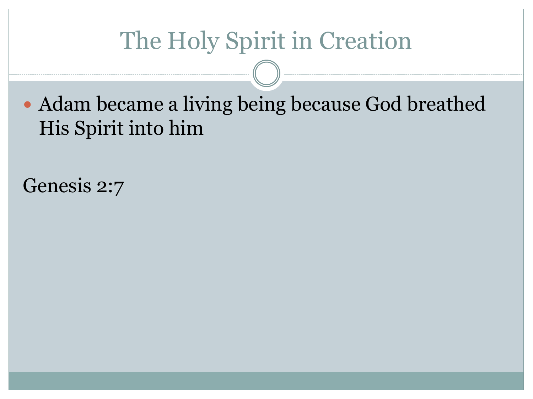## The Holy Spirit in Creation

 Adam became a living being because God breathed His Spirit into him

Genesis 2:7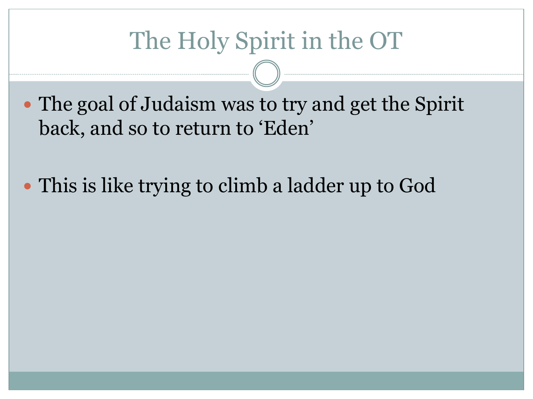## The Holy Spirit in the OT

• The goal of Judaism was to try and get the Spirit back, and so to return to 'Eden'

This is like trying to climb a ladder up to God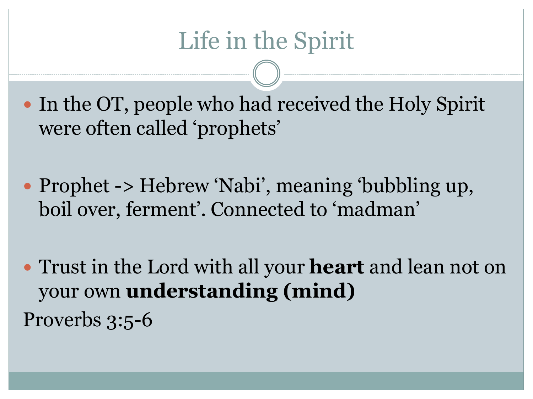• In the OT, people who had received the Holy Spirit were often called 'prophets'

• Prophet -> Hebrew 'Nabi', meaning 'bubbling up, boil over, ferment'. Connected to 'madman'

 Trust in the Lord with all your **heart** and lean not on your own **understanding (mind)** Proverbs 3:5-6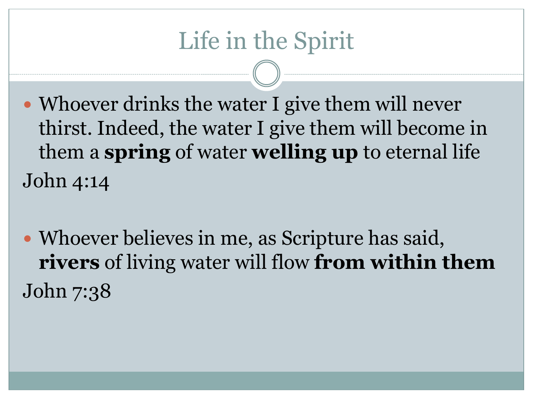### Life in the Spirit

- Whoever drinks the water I give them will never thirst. Indeed, the water I give them will become in them a **spring** of water **welling up** to eternal life John 4:14
- Whoever believes in me, as Scripture has said, **rivers** of living water will flow **from within them** John 7:38